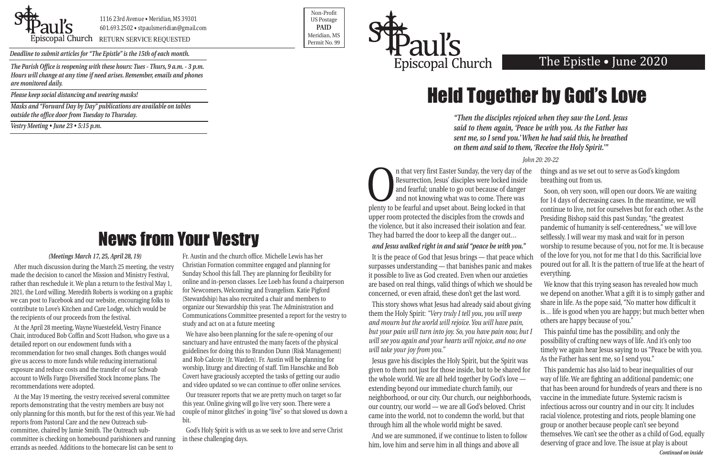

1116 23rd Avenue • Meridian, MS 39301 601.693.2502 • stpaulsmeridian@gmail.com

Priscopal Church RETURN SERVICE REQUESTED Research of the permit No. 99

Non-Profit US Postage **PAID** Meridian, MS

*Deadline to submit articles for "The Epistle" is the 15th of each month.* 



*Hours will change at any time if need arises. Remember, emails and phones are monitored daily.*

*Please keep social distancing and wearing masks!*

*Masks and "Forward Day by Day" publications are available on tables outside the office door from Tuesday to Thursday.*

*Vestry Meeting • June 23 • 5:15 p.m.*

In that very first Easter Sunday, the very day of the Resurrection, Jesus' disciples were locked inside and fearful; unable to go out because of danger and not knowing what was to come. There was plenty to be fearful and u Resurrection, Jesus' disciples were locked inside and fearful; unable to go out because of danger and not knowing what was to come. There was upper room protected the disciples from the crowds and the violence, but it also increased their isolation and fear. They had barred the door to keep all the danger out… *and Jesus walked right in and said "peace be with you."*  It is the peace of God that Jesus brings — that peace which things and as we set out to serve as God's kingdom breathing out from us. Soon, oh very soon, will open our doors. We are waiting for 14 days of decreasing cases. In the meantime, we will continue to live, not for ourselves but for each other. As the Presiding Bishop said this past Sunday, "the greatest pandemic of humanity is self-centeredness," we will love selflessly. I will wear my mask and wait for in person worship to resume because of you, not for me. It is because of the love for you, not for me that I do this. Sacrificial love everything.

surpasses understanding — that banishes panic and makes it possible to live as God created. Even when our anxieties are based on real things, valid things of which we should be concerned, or even afraid, these don't get the last word. This story shows what Jesus had already said about giving poured out for all. It is the pattern of true life at the heart of We know that this trying season has revealed how much we depend on another. What a gift it is to simply gather and share in life. As the pope said, "No matter how difficult it

them the Holy Spirit: *"Very truly I tell you, you will weep and mourn but the world will rejoice. You will have pain, but your pain will turn into joy. So, you have pain now, but I will see you again and your hearts will rejoice, and no one will take your joy from you."* is… life is good when you are happy; but much better when others are happy because of you." This painful time has the possibility, and only the possibility of crafting new ways of life. And it's only too timely we again hear Jesus saying to us "Peace be with you. As the Father has sent me, so I send you."

Jesus gave his disciples the Holy Spirit, but the Spirit was given to them not just for those inside, but to be shared for the whole world. We are all held together by God's love extending beyond our immediate church family, our neighborhood, or our city. Our church, our neighborhoods, our country, our world — we are all God's beloved. Christ came into the world, not to condemn the world, but that through him all the whole world might be saved. And we are summoned, if we continue to listen to follow This pandemic has also laid to bear inequalities of our way of life. We are fighting an additional pandemic; one that has been around for hundreds of years and there is no vaccine in the immediate future. Systemic racism is infectious across our country and in our city. It includes racial violence, protesting and riots, people blaming one group or another because people can't see beyond themselves. We can't see the other as a child of God, equally

him, love him and serve him in all things and above all deserving of grace and love. The issue at play is about

### *(Meetings March 17, 25, April 28, 19)*

After much discussion during the March 25 meeting, the vestry made the decision to cancel the Mission and Ministry Festival, rather than reschedule it. We plan a return to the festival May 1, 2021, the Lord willing. Meredith Roberts is working on a graphic we can post to Facebook and our website, encouraging folks to contribute to Love's Kitchen and Care Lodge, which would be the recipients of our proceeds from the festival.

At the April 28 meeting, Wayne Wuestefeld, Vestry Finance Chair, introduced Bob Coffin and Scott Hudson, who gave us a detailed report on our endowment funds with a recommendation for two small changes. Both changes would give us access to more funds while reducing international exposure and reduce costs and the transfer of our Schwab account to Wells Fargo Diversified Stock Income plans. The recommendations were adopted.

At the May 19 meeting, the vestry received several committee reports demonstrating that the vestry members are busy not only planning for this month, but for the rest of this year. We had reports from Pastoral Care and the new Outreach subcommittee, chaired by Jamie Smith. The Outreach subcommittee is checking on homebound parishioners and running errands as needed. Additions to the homecare list can be sent to

Fr. Austin and the church office. Michelle Lewis has her Christian Formation committee engaged and planning for Sunday School this fall. They are planning for flexibility for online and in-person classes. Lee Loeb has found a chairperson for Newcomers, Welcoming and Evangelism. Katie Pigford (Stewardship) has also recruited a chair and members to organize our Stewardship this year. The Administration and Communications Committee presented a report for the vestry to study and act on at a future meeting

We have also been planning for the safe re-opening of our sanctuary and have entrusted the many facets of the physical guidelines for doing this to Brandon Dunn (Risk Management) and Rob Calcote (Jr. Warden). Fr. Austin will be planning for worship, liturgy and directing of staff. Tim Hanschke and Bob Covert have graciously accepted the tasks of getting our audio and video updated so we can continue to offer online services.

Our treasurer reports that we are pretty much on target so far this year. Online giving will go live very soon. There were a couple of minor glitches' in going "live" so that slowed us down a bit.

God's Holy Spirit is with us as we seek to love and serve Christ in these challenging days.

*"Then the disciples rejoiced when they saw the Lord. Jesus said to them again, 'Peace be with you. As the Father has sent me, so I send you.' When he had said this, he breathed on them and said to them, 'Receive the Holy Spirit.'"* 

*John 20: 20-22*

# Held Together by God's Love

*Continued on inside*

# News from Your Vestry